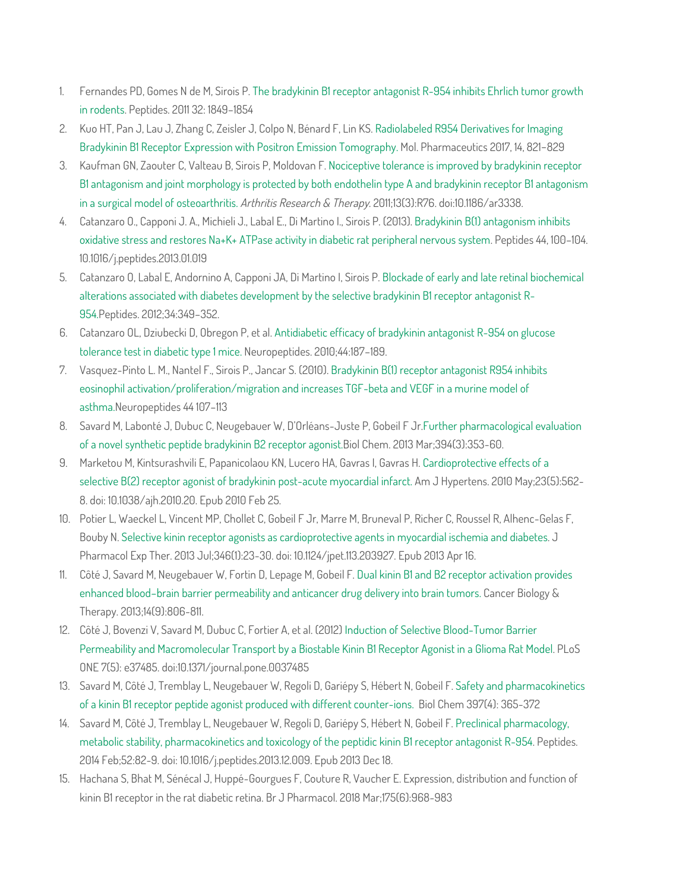- 1. Fernandes PD, Gomes N de M, Sirois P. The bradykinin B1 receptor antagonist R-954 inhibits Ehrlich tumor growth in rodents. Peptides. 2011 32: 1849–1854
- 2. Kuo HT, Pan J, Lau J, Zhang C, Zeisler J, Colpo N, Bénard F, Lin KS. Radiolabeled R954 Derivatives for Imaging Bradykinin B1 Receptor Expression with Positron Emission Tomography. Mol. Pharmaceutics 2017, 14, 821−829
- 3. Kaufman GN, Zaouter C, Valteau B, Sirois P, Moldovan F. Nociceptive tolerance is improved by bradykinin receptor B1 antagonism and joint morphology is protected by both endothelin type A and bradykinin receptor B1 antagonism in a surgical model of osteoarthritis. Arthritis Research & Therapy. 2011;13(3):R76. doi:10.1186/ar3338.
- 4. Catanzaro O., Capponi J. A., Michieli J., Labal E., Di Martino I., Sirois P. (2013). Bradykinin B(1) antagonism inhibits oxidative stress and restores Na+K+ ATPase activity in diabetic rat peripheral nervous system. Peptides 44, 100–104. 10.1016/j.peptides.2013.01.019
- 5. Catanzaro O, Labal E, Andornino A, Capponi JA, Di Martino I, Sirois P. Blockade of early and late retinal biochemical alterations associated with diabetes development by the selective bradykinin B1 receptor antagonist R-954.Peptides. 2012;34:349–352.
- 6. Catanzaro OL, Dziubecki D, Obregon P, et al. Antidiabetic efficacy of bradykinin antagonist R-954 on glucose tolerance test in diabetic type 1 mice. Neuropeptides. 2010;44:187–189.
- 7. Vasquez-Pinto L. M., Nantel F., Sirois P., Jancar S. (2010). Bradykinin B(1) receptor antagonist R954 inhibits eosinophil activation/proliferation/migration and increases TGF-beta and VEGF in a murine model of asthma.Neuropeptides 44 107–113
- 8. Savard M, Labonté J, Dubuc C, Neugebauer W, D'Orléans-Juste P, Gobeil F Jr.Further pharmacological evaluation of a novel synthetic peptide bradykinin B2 receptor agonist.Biol Chem. 2013 Mar;394(3):353-60.
- 9. Marketou M, Kintsurashvili E, Papanicolaou KN, Lucero HA, Gavras I, Gavras H. Cardioprotective effects of a selective B(2) receptor agonist of bradykinin post-acute myocardial infarct. Am J Hypertens. 2010 May;23(5):562- 8. doi: 10.1038/ajh.2010.20. Epub 2010 Feb 25.
- 10. Potier L, Waeckel L, Vincent MP, Chollet C, Gobeil F Jr, Marre M, Bruneval P, Richer C, Roussel R, Alhenc-Gelas F, Bouby N. Selective kinin receptor agonists as cardioprotective agents in myocardial ischemia and diabetes. J Pharmacol Exp Ther. 2013 Jul;346(1):23-30. doi: 10.1124/jpet.113.203927. Epub 2013 Apr 16.
- 11. Côté J, Savard M, Neugebauer W, Fortin D, Lepage M, Gobeil F. Dual kinin B1 and B2 receptor activation provides enhanced blood–brain barrier permeability and anticancer drug delivery into brain tumors. Cancer Biology & Therapy. 2013;14(9):806-811.
- 12. Côté J, Bovenzi V, Savard M, Dubuc C, Fortier A, et al. (2012) Induction of Selective Blood-Tumor Barrier Permeability and Macromolecular Transport by a Biostable Kinin B1 Receptor Agonist in a Glioma Rat Model. PLoS ONE 7(5): e37485. doi:10.1371/journal.pone.0037485
- 13. Savard M, Côté J, Tremblay L, Neugebauer W, Regoli D, Gariépy S, Hébert N, Gobeil F. Safety and pharmacokinetics of a kinin B1 receptor peptide agonist produced with different counter-ions. Biol Chem 397(4): 365-372
- 14. Savard M, Côté J, Tremblay L, Neugebauer W, Regoli D, Gariépy S, Hébert N, Gobeil F. Preclinical pharmacology, metabolic stability, pharmacokinetics and toxicology of the peptidic kinin B1 receptor antagonist R-954. Peptides. 2014 Feb;52:82-9. doi: 10.1016/j.peptides.2013.12.009. Epub 2013 Dec 18.
- 15. Hachana S, Bhat M, Sénécal J, Huppé-Gourgues F, Couture R, Vaucher E. Expression, distribution and function of kinin B1 receptor in the rat diabetic retina. Br J Pharmacol. 2018 Mar;175(6):968-983